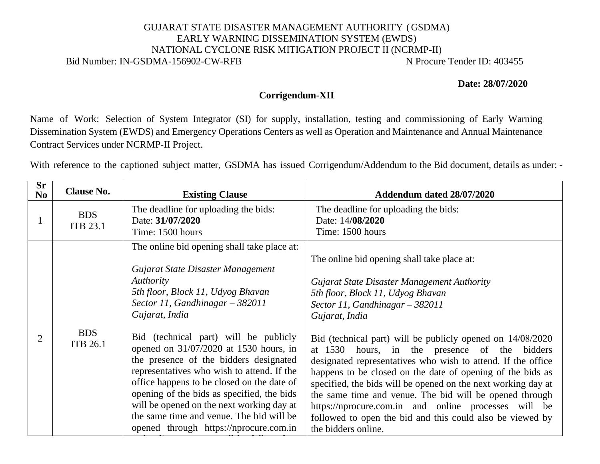## GUJARAT STATE DISASTER MANAGEMENT AUTHORITY (GSDMA) EARLY WARNING DISSEMINATION SYSTEM (EWDS) NATIONAL CYCLONE RISK MITIGATION PROJECT II (NCRMP-II) Bid Number: IN-GSDMA-156902-CW-RFB N Procure Tender ID: 403455

**Date: 28/07/2020**

## **Corrigendum-XII**

Name of Work: Selection of System Integrator (SI) for supply, installation, testing and commissioning of Early Warning Dissemination System (EWDS) and Emergency Operations Centers as well as Operation and Maintenance and Annual Maintenance Contract Services under NCRMP-II Project.

With reference to the captioned subject matter, GSDMA has issued Corrigendum/Addendum to the Bid document, details as under: -

| $S_{r}$<br>N <sub>0</sub> | <b>Clause No.</b>             | <b>Existing Clause</b>                                                                                                                                                                                                                                                                                                                                                                                                                                                                                                                                                                              | Addendum dated 28/07/2020                                                                                                                                                                                                                                                                                                                                                                                                                                                                                                                                                                                                                                                                                         |  |
|---------------------------|-------------------------------|-----------------------------------------------------------------------------------------------------------------------------------------------------------------------------------------------------------------------------------------------------------------------------------------------------------------------------------------------------------------------------------------------------------------------------------------------------------------------------------------------------------------------------------------------------------------------------------------------------|-------------------------------------------------------------------------------------------------------------------------------------------------------------------------------------------------------------------------------------------------------------------------------------------------------------------------------------------------------------------------------------------------------------------------------------------------------------------------------------------------------------------------------------------------------------------------------------------------------------------------------------------------------------------------------------------------------------------|--|
|                           | <b>BDS</b><br><b>ITB 23.1</b> | The deadline for uploading the bids:<br>Date: 31/07/2020<br>Time: 1500 hours                                                                                                                                                                                                                                                                                                                                                                                                                                                                                                                        | The deadline for uploading the bids:<br>Date: 14/08/2020<br>Time: 1500 hours                                                                                                                                                                                                                                                                                                                                                                                                                                                                                                                                                                                                                                      |  |
| $\overline{2}$            | <b>BDS</b><br><b>ITB 26.1</b> | The online bid opening shall take place at:<br>Gujarat State Disaster Management<br>Authority<br>5th floor, Block 11, Udyog Bhavan<br>Sector 11, Gandhinagar $-$ 382011<br>Gujarat, India<br>Bid (technical part) will be publicly<br>opened on 31/07/2020 at 1530 hours, in<br>the presence of the bidders designated<br>representatives who wish to attend. If the<br>office happens to be closed on the date of<br>opening of the bids as specified, the bids<br>will be opened on the next working day at<br>the same time and venue. The bid will be<br>opened through https://nprocure.com.in | The online bid opening shall take place at:<br>Gujarat State Disaster Management Authority<br>5th floor, Block 11, Udyog Bhavan<br>Sector 11, Gandhinagar $-$ 382011<br>Gujarat, India<br>Bid (technical part) will be publicly opened on 14/08/2020<br>at 1530<br>hours, in the presence of the<br>bidders<br>designated representatives who wish to attend. If the office<br>happens to be closed on the date of opening of the bids as<br>specified, the bids will be opened on the next working day at<br>the same time and venue. The bid will be opened through<br>https://nprocure.com.in and online processes will be<br>followed to open the bid and this could also be viewed by<br>the bidders online. |  |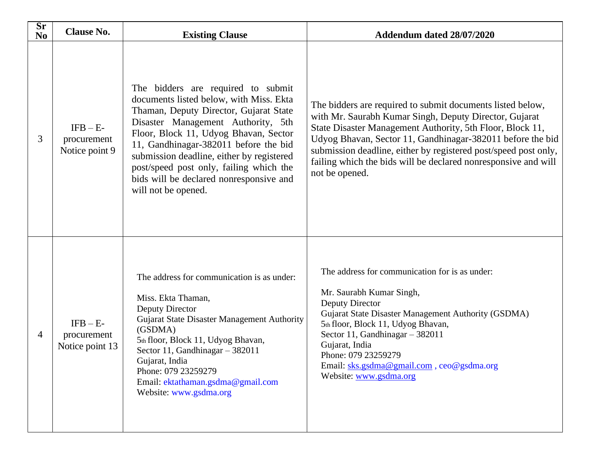| Sr<br>N <sub>0</sub> | <b>Clause No.</b>                            | <b>Existing Clause</b>                                                                                                                                                                                                                                                                                                                                                                                    | Addendum dated 28/07/2020                                                                                                                                                                                                                                                                                                                                                                              |
|----------------------|----------------------------------------------|-----------------------------------------------------------------------------------------------------------------------------------------------------------------------------------------------------------------------------------------------------------------------------------------------------------------------------------------------------------------------------------------------------------|--------------------------------------------------------------------------------------------------------------------------------------------------------------------------------------------------------------------------------------------------------------------------------------------------------------------------------------------------------------------------------------------------------|
| 3                    | $IFB - E-$<br>procurement<br>Notice point 9  | The bidders are required to submit<br>documents listed below, with Miss. Ekta<br>Thaman, Deputy Director, Gujarat State<br>Disaster Management Authority, 5th<br>Floor, Block 11, Udyog Bhavan, Sector<br>11, Gandhinagar-382011 before the bid<br>submission deadline, either by registered<br>post/speed post only, failing which the<br>bids will be declared nonresponsive and<br>will not be opened. | The bidders are required to submit documents listed below,<br>with Mr. Saurabh Kumar Singh, Deputy Director, Gujarat<br>State Disaster Management Authority, 5th Floor, Block 11,<br>Udyog Bhavan, Sector 11, Gandhinagar-382011 before the bid<br>submission deadline, either by registered post/speed post only,<br>failing which the bids will be declared nonresponsive and will<br>not be opened. |
| 4                    | $IFB - E-$<br>procurement<br>Notice point 13 | The address for communication is as under:<br>Miss. Ekta Thaman,<br>Deputy Director<br>Gujarat State Disaster Management Authority<br>(GSDMA)<br>5th floor, Block 11, Udyog Bhavan,<br>Sector 11, Gandhinagar $-382011$<br>Gujarat, India<br>Phone: 079 23259279<br>Email: ektathaman.gsdma@gmail.com<br>Website: www.gsdma.org                                                                           | The address for communication for is as under:<br>Mr. Saurabh Kumar Singh,<br>Deputy Director<br>Gujarat State Disaster Management Authority (GSDMA)<br>5th floor, Block 11, Udyog Bhavan,<br>Sector 11, Gandhinagar - 382011<br>Gujarat, India<br>Phone: 079 23259279<br>Email: sks.gsdma@gmail.com, ceo@gsdma.org<br>Website: www.gsdma.org                                                          |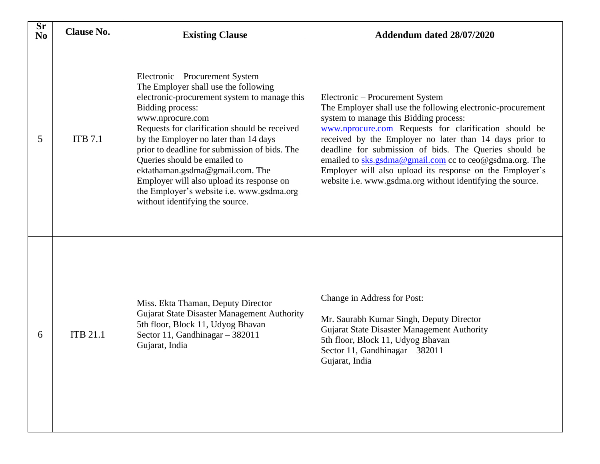| Sr<br>N <sub>o</sub> | <b>Clause No.</b><br><b>Existing Clause</b> |                                                                                                                                                                                                                                                                                                                                                                                                                                                                                                                   | Addendum dated 28/07/2020                                                                                                                                                                                                                                                                                                                                                                                                                                                                                   |  |
|----------------------|---------------------------------------------|-------------------------------------------------------------------------------------------------------------------------------------------------------------------------------------------------------------------------------------------------------------------------------------------------------------------------------------------------------------------------------------------------------------------------------------------------------------------------------------------------------------------|-------------------------------------------------------------------------------------------------------------------------------------------------------------------------------------------------------------------------------------------------------------------------------------------------------------------------------------------------------------------------------------------------------------------------------------------------------------------------------------------------------------|--|
| 5                    | <b>ITB</b> 7.1                              | Electronic – Procurement System<br>The Employer shall use the following<br>electronic-procurement system to manage this<br><b>Bidding process:</b><br>www.nprocure.com<br>Requests for clarification should be received<br>by the Employer no later than 14 days<br>prior to deadline for submission of bids. The<br>Queries should be emailed to<br>ektathaman.gsdma@gmail.com. The<br>Employer will also upload its response on<br>the Employer's website i.e. www.gsdma.org<br>without identifying the source. | Electronic – Procurement System<br>The Employer shall use the following electronic-procurement<br>system to manage this Bidding process:<br>www.nprocure.com Requests for clarification should be<br>received by the Employer no later than 14 days prior to<br>deadline for submission of bids. The Queries should be<br>emailed to sks.gsdma@gmail.com cc to ceo@gsdma.org. The<br>Employer will also upload its response on the Employer's<br>website i.e. www.gsdma.org without identifying the source. |  |
| 6                    | <b>ITB 21.1</b>                             | Miss. Ekta Thaman, Deputy Director<br>Gujarat State Disaster Management Authority<br>5th floor, Block 11, Udyog Bhavan<br>Sector 11, Gandhinagar - 382011<br>Gujarat, India                                                                                                                                                                                                                                                                                                                                       | Change in Address for Post:<br>Mr. Saurabh Kumar Singh, Deputy Director<br><b>Gujarat State Disaster Management Authority</b><br>5th floor, Block 11, Udyog Bhavan<br>Sector 11, Gandhinagar $-382011$<br>Gujarat, India                                                                                                                                                                                                                                                                                    |  |